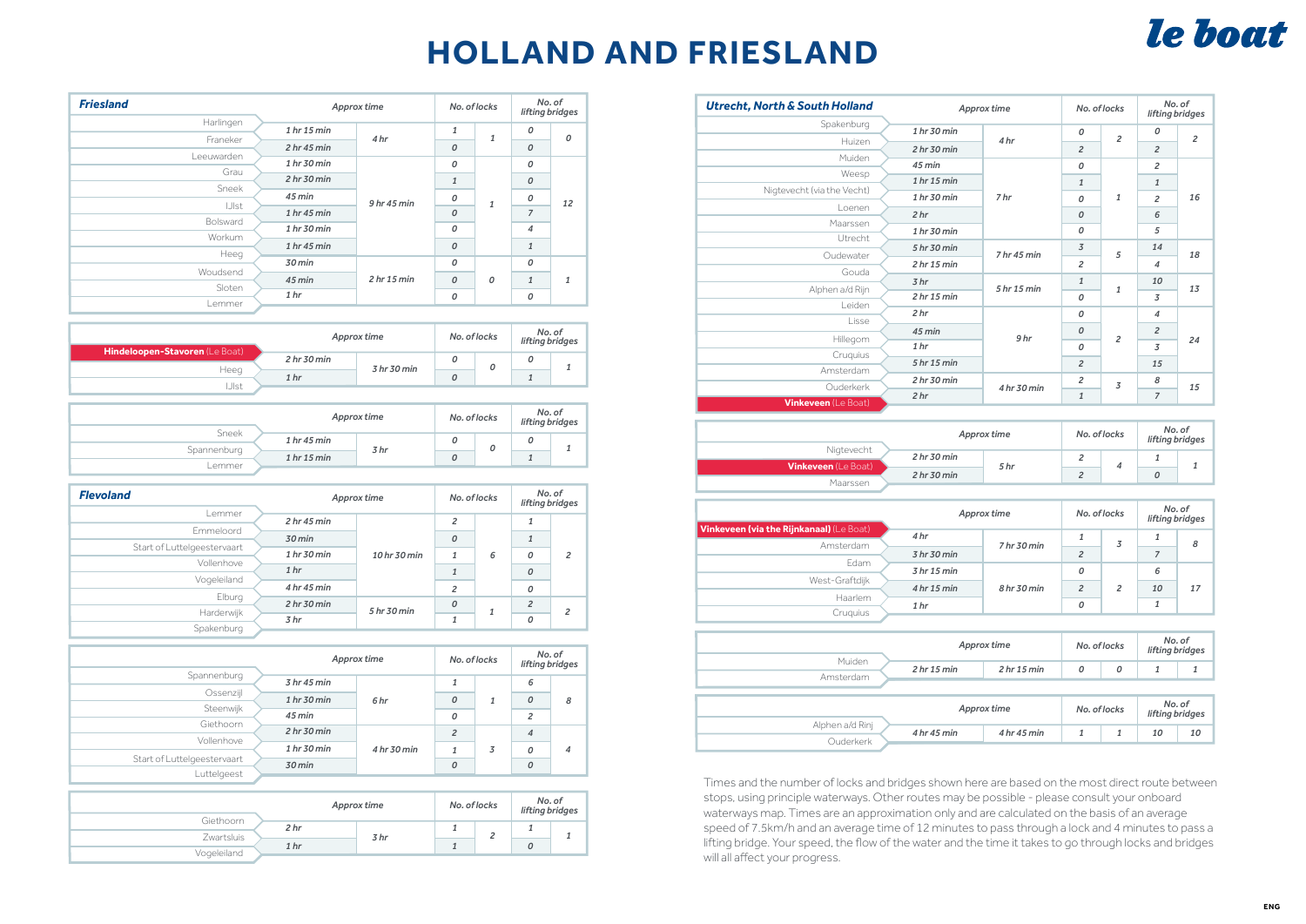## **HOLLAND AND FRIESLAND**

## le boat

| <b>Friesland</b> | Approx time                       |                 | No. of locks   |              | No. of<br>lifting bridges |              |
|------------------|-----------------------------------|-----------------|----------------|--------------|---------------------------|--------------|
| Harlingen        | 1 hr 15 min                       |                 | $\mathbf{1}$   |              | 0                         |              |
| Franeker         | 2 hr 45 min                       | 4 <sub>hr</sub> | 0              | $\mathbf{1}$ | $\mathcal{O}$             | O            |
| Leeuwarden       | 1 hr 30 min                       |                 |                |              | 0                         |              |
| Grau             |                                   | 9hr45 min       | 0              |              |                           | 12           |
| Sneek            | 2 hr30 min                        |                 | $\mathbf{1}$   | 1            | $\mathcal{O}$             |              |
|                  | 45 min                            |                 | 0              |              | 0                         |              |
| IJIst            | 1 hr 45 min                       |                 | $\overline{O}$ |              | $\overline{7}$            |              |
| Bolsward         |                                   |                 |                |              |                           |              |
| Workum           | 1 hr 30 min                       |                 | 0              |              | $\overline{\mathcal{A}}$  |              |
|                  | 1 <sub>hr</sub> 45 <sub>min</sub> |                 | $\overline{O}$ |              | $\mathbf{1}$              |              |
| Heeg             |                                   |                 |                |              |                           |              |
| Woudsend         | 30 min<br>45 min                  |                 | 0              |              | $\mathcal{O}$             |              |
|                  |                                   | 2 hr 15 min     | 0              | 0            | $\mathbf{1}$              | $\mathbf{1}$ |
| Sloten           | 1 <sub>hr</sub>                   |                 | 0              |              | 0                         |              |
| Lemmer           |                                   |                 |                |              |                           |              |

| Hindeloopen-Stavoren (Le Boat) |                                   | Approx time | No. of locks |  | No. of<br>lifting bridges |  |
|--------------------------------|-----------------------------------|-------------|--------------|--|---------------------------|--|
|                                | 2 <sub>hr</sub> 30 <sub>min</sub> |             |              |  |                           |  |
| Heeg                           | 1 <sub>hr</sub>                   | 3 hr 30 min |              |  |                           |  |
| .JIst                          |                                   |             |              |  |                           |  |

| Sneek       | Approx time                       |                 | No. of locks | No. of | lifting bridges |
|-------------|-----------------------------------|-----------------|--------------|--------|-----------------|
|             | $1hr$ 45 min                      |                 |              |        |                 |
| Spannenburg | 1 <sub>hr</sub> 15 <sub>min</sub> | 3 <sub>hr</sub> |              |        |                 |
| Lemmer      |                                   |                 |              |        |                 |

| <b>Flevoland</b>            | Approx time     |              | No. of locks            |  |   | No. of<br>lifting bridges |   |                |  |                |
|-----------------------------|-----------------|--------------|-------------------------|--|---|---------------------------|---|----------------|--|----------------|
| Lemmer                      | 2 hr 45 min     |              | $\overline{\mathbf{c}}$ |  |   |                           |   |                |  |                |
| Emmeloord                   | 30 min          |              | 0                       |  |   |                           |   |                |  |                |
| Start of Luttelgeestervaart | 1 hr 30 min     | 10 hr 30 min |                         |  |   |                           | 1 | 6              |  | $\overline{c}$ |
| Vollenhove                  |                 |              |                         |  | 0 |                           |   |                |  |                |
| Vogeleiland                 | 1 <sub>hr</sub> |              |                         |  | 0 |                           |   |                |  |                |
|                             | 4 hr 45 min     |              | $\overline{c}$          |  | 0 |                           |   |                |  |                |
| Elburg                      | 2 hr30 min      | 5 hr 30 min  |                         |  |   | $\mathcal{O}$             |   | $\overline{2}$ |  |                |
| Harderwijk                  | 3 <sub>hr</sub> |              |                         |  | 0 | 2                         |   |                |  |                |
| Spakenburg                  |                 |              |                         |  |   |                           |   |                |  |                |

|                             | Approx time |             | No. of locks   |   | No. of<br>lifting bridges |   |   |   |   |   |
|-----------------------------|-------------|-------------|----------------|---|---------------------------|---|---|---|---|---|
| Spannenburg                 | 3 hr45 min  |             |                |   | 6                         |   |   |   |   |   |
| Ossenzijl                   | 1 hr 30 min | 6 hr        |                |   |                           |   | 0 | 1 | 0 | 8 |
| Steenwijk                   | $45$ min    |             | 0              |   | $\overline{c}$            |   |   |   |   |   |
| Giethoorn                   | 2 hr30 min  |             | $\overline{2}$ |   | $\overline{4}$            |   |   |   |   |   |
| Vollenhove                  | 1 hr 30 min | 4 hr 30 min |                | 3 | 0                         | 4 |   |   |   |   |
| Start of Luttelgeestervaart | 30 min      |             | 0              |   | $\mathcal{O}$             |   |   |   |   |   |
| Luttelgeest                 |             |             |                |   |                           |   |   |   |   |   |

|             | Approx time     |      | No. of locks |  | No. of<br>lifting bridges |  |
|-------------|-----------------|------|--------------|--|---------------------------|--|
| Giethoorn   | 2 <sub>hr</sub> |      |              |  |                           |  |
| Zwartsluis  | 1 <sub>hr</sub> | 3 hr |              |  |                           |  |
|             |                 |      |              |  |                           |  |
| Vogeleiland |                 |      |              |  |                           |  |
|             |                 |      |              |  |                           |  |

| <b>Utrecht, North &amp; South Holland</b> | Approx time     |                 | No. of locks   |                | No. of<br>lifting bridges |                |
|-------------------------------------------|-----------------|-----------------|----------------|----------------|---------------------------|----------------|
| Spakenburg                                | 1 hr 30 min     |                 | 0              |                | $\mathcal{O}$             |                |
| Huizen                                    | 2 hr30 min      | 4 <sub>hr</sub> | $\overline{c}$ | $\overline{c}$ | $\overline{c}$            | $\overline{c}$ |
| Muiden                                    | $45$ min        |                 | 0              |                | $\overline{c}$            |                |
| Weesp                                     | 1 hr 15 min     |                 | $\mathbf{1}$   |                | $\mathbf{1}$              |                |
| Nigtevecht (via the Vecht)                | 1 hr 30 min     | 7 <sub>hr</sub> |                | $\mathbf{1}$   |                           | 16             |
| Loenen                                    | 2 <sub>hr</sub> |                 | 0              |                | $\overline{c}$            |                |
| Maarssen                                  |                 |                 | 0              |                | 6                         |                |
| Utrecht                                   | 1 hr 30 min     |                 | 0              |                | 5                         |                |
| Oudewater                                 | 5 hr 30 min     | 7 hr45 min      | 3              | 5              | 14                        | 18             |
| Gouda                                     | 2 hr15 min      |                 | $\overline{c}$ |                | $\overline{4}$            |                |
| Alphen a/d Rijn                           | 3 <sub>hr</sub> | 5 hr 15 min     | $\mathbf{1}$   | $\mathbf{1}$   | 10                        | 13             |
| Leiden                                    | 2 hr15 min      |                 | 0              |                | $\overline{3}$            |                |
| Lisse                                     | 2 <sub>hr</sub> |                 | 0              |                | $\overline{4}$            |                |
|                                           | $45$ min        | 9 <sub>hr</sub> | $\mathcal{O}$  |                | $\overline{c}$            |                |
| Hillegom                                  | 1 <sub>hr</sub> |                 | 0              | $\overline{c}$ | $\overline{3}$            | 24             |
| Cruquius                                  | 5 hr 15 min     |                 | $\overline{c}$ |                | 15                        |                |
| Amsterdam                                 | 2 hr30 min      |                 | 2              |                | 8                         |                |
| Ouderkerk                                 | 2 <sub>hr</sub> | 4 hr 30 min     | 1              | 3              | $\overline{7}$            | 15             |
| <b>Vinkeveen</b> (Le Boat)                |                 |                 |                |                |                           |                |

|                            |                                   | Approx time | No. of locks | No. of<br>lifting bridges |  |
|----------------------------|-----------------------------------|-------------|--------------|---------------------------|--|
| Nigtevecht                 | 2 <sub>hr</sub> 30 <sub>min</sub> |             |              |                           |  |
| <b>Vinkeveen</b> (Le Boat) | 2 <sub>hr</sub> 30 <sub>min</sub> | 5 hr        |              |                           |  |
| Maarssen                   |                                   |             |              |                           |  |

|                                          | Approx time     |                                   | No. of locks   |  | No. of<br>lifting bridges |    |
|------------------------------------------|-----------------|-----------------------------------|----------------|--|---------------------------|----|
| Vinkeveen (via the Rijnkanaal) (Le Boat) | 4 <sub>hr</sub> |                                   |                |  |                           |    |
| Amsterdam                                | 3 hr 30 min     | 7 <sub>hr</sub> 30 <sub>min</sub> | $\overline{c}$ |  |                           | 8  |
| Edam                                     | 3 hr 15 min     |                                   | 0              |  | 6                         |    |
| West-Graftdijk                           | 4 hr 15 min     | 8 hr 30 min                       | $\overline{2}$ |  | 10                        | 17 |
| Haarlem                                  | 1 <sub>hr</sub> |                                   | 0              |  |                           |    |
| Cruauius                                 |                 |                                   |                |  |                           |    |

| Approx time                       |             | No. of locks |   | No. of<br>lifting bridges |                                 |
|-----------------------------------|-------------|--------------|---|---------------------------|---------------------------------|
| 2 <sub>hr</sub> 15 <sub>min</sub> | 2 hr15 min  | 0            | 0 | 1                         | 1                               |
|                                   |             |              |   |                           |                                 |
|                                   |             |              |   |                           |                                 |
| Approx time                       |             | No. of locks |   |                           |                                 |
|                                   |             |              |   |                           |                                 |
|                                   |             |              |   |                           | 10                              |
|                                   | 4 hr 45 min | 4 hr 45 min  |   |                           | No. of<br>lifting bridges<br>10 |

Times and the number of locks and bridges shown here are based on the most direct route between stops, using principle waterways. Other routes may be possible - please consult your onboard waterways map. Times are an approximation only and are calculated on the basis of an average speed of 7.5km/h and an average time of 12 minutes to pass through a lock and 4 minutes to pass a lifting bridge. Your speed, the flow of the water and the time it takes to go through locks and bridges will all affect your progress.